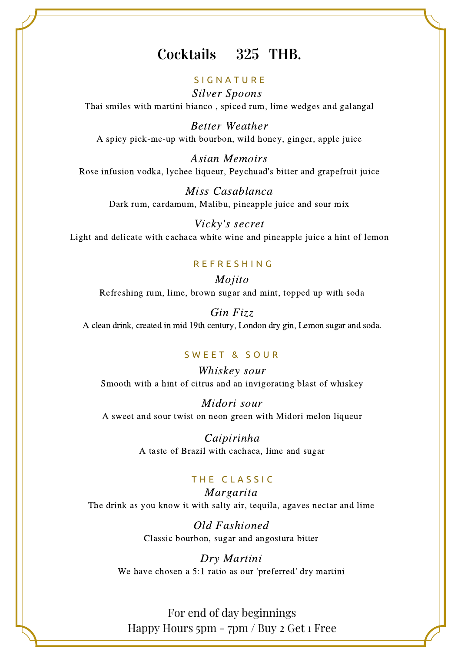## Cocktails 325 THB.

### **SIGNATURE**

Silver Spoons Thai smiles with martini bianco , spiced rum, lime wedges and galangal

Better Weather A spicy pick-me-up with bourbon, wild honey, ginger, apple juice

Asian Memoirs Rose infusion vodka, lychee liqueur, Peychuad's bitter and grapefruit juice

Miss Casablanca Dark rum, cardamum, Malibu, pineapple juice and sour mix

Vicky's secret Light and delicate with cachaca white wine and pineapple juice a hint of lemon

#### R E F R E S H I N G

Mojito Refreshing rum, lime, brown sugar and mint, topped up with soda

Gin Fizz A clean drink, created in mid 19th century, London dry gin, Lemon sugar and soda.

#### SWEET & SOUR

Whiskey sour Smooth with a hint of citrus and an invigorating blast of whiskey

Midori sour A sweet and sour twist on neon green with Midori melon liqueur

> Caipirinha A taste of Brazil with cachaca, lime and sugar

### THE CLASSIC

Margarita The drink as you know it with salty air, tequila, agaves nectar and lime

> Old Fashioned Classic bourbon, sugar and angostura bitter

Dry Martini We have chosen a 5:1 ratio as our 'preferred' dry martini

For end of day beginnings Happy Hours  $5pm -7pm / Buy$  2 Get 1 Free